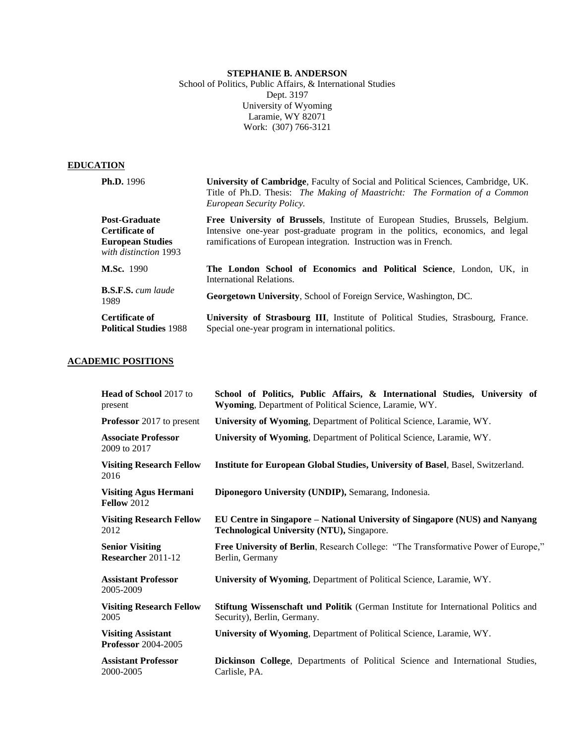# **STEPHANIE B. ANDERSON**

School of Politics, Public Affairs, & International Studies Dept. 3197 University of Wyoming Laramie, WY 82071 Work: (307) 766-3121

# **EDUCATION**

| <b>Ph.D.</b> 1996                                                                          | <b>University of Cambridge, Faculty of Social and Political Sciences, Cambridge, UK.</b><br>Title of Ph.D. Thesis: The Making of Maastricht: The Formation of a Common<br>European Security Policy.                                   |
|--------------------------------------------------------------------------------------------|---------------------------------------------------------------------------------------------------------------------------------------------------------------------------------------------------------------------------------------|
| <b>Post-Graduate</b><br>Certificate of<br><b>European Studies</b><br>with distinction 1993 | Free University of Brussels, Institute of European Studies, Brussels, Belgium.<br>Intensive one-year post-graduate program in the politics, economics, and legal<br>ramifications of European integration. Instruction was in French. |
| <b>M.Sc.</b> 1990                                                                          | The London School of Economics and Political Science, London, UK, in<br>International Relations.                                                                                                                                      |
| <b>B.S.F.S.</b> cum laude<br>1989                                                          | <b>Georgetown University, School of Foreign Service, Washington, DC.</b>                                                                                                                                                              |
| Certificate of<br><b>Political Studies 1988</b>                                            | <b>University of Strasbourg III</b> , Institute of Political Studies, Strasbourg, France.<br>Special one-year program in international politics.                                                                                      |

# **ACADEMIC POSITIONS**

| <b>Head of School 2017 to</b><br>present                | School of Politics, Public Affairs, & International Studies, University of<br>Wyoming, Department of Political Science, Laramie, WY. |
|---------------------------------------------------------|--------------------------------------------------------------------------------------------------------------------------------------|
| <b>Professor</b> 2017 to present                        | University of Wyoming, Department of Political Science, Laramie, WY.                                                                 |
| <b>Associate Professor</b><br>2009 to 2017              | University of Wyoming, Department of Political Science, Laramie, WY.                                                                 |
| <b>Visiting Research Fellow</b><br>2016                 | <b>Institute for European Global Studies, University of Basel, Basel, Switzerland.</b>                                               |
| <b>Visiting Agus Hermani</b><br><b>Fellow 2012</b>      | Diponegoro University (UNDIP), Semarang, Indonesia.                                                                                  |
| <b>Visiting Research Fellow</b><br>2012                 | EU Centre in Singapore – National University of Singapore (NUS) and Nanyang<br>Technological University (NTU), Singapore.            |
| <b>Senior Visiting</b><br>Researcher 2011-12            | <b>Free University of Berlin, Research College: "The Transformative Power of Europe,"</b><br>Berlin, Germany                         |
| <b>Assistant Professor</b><br>2005-2009                 | <b>University of Wyoming, Department of Political Science, Laramie, WY.</b>                                                          |
| <b>Visiting Research Fellow</b><br>2005                 | Stiftung Wissenschaft und Politik (German Institute for International Politics and<br>Security), Berlin, Germany.                    |
| <b>Visiting Assistant</b><br><b>Professor</b> 2004-2005 | University of Wyoming, Department of Political Science, Laramie, WY.                                                                 |
| <b>Assistant Professor</b><br>2000-2005                 | Dickinson College, Departments of Political Science and International Studies,<br>Carlisle, PA.                                      |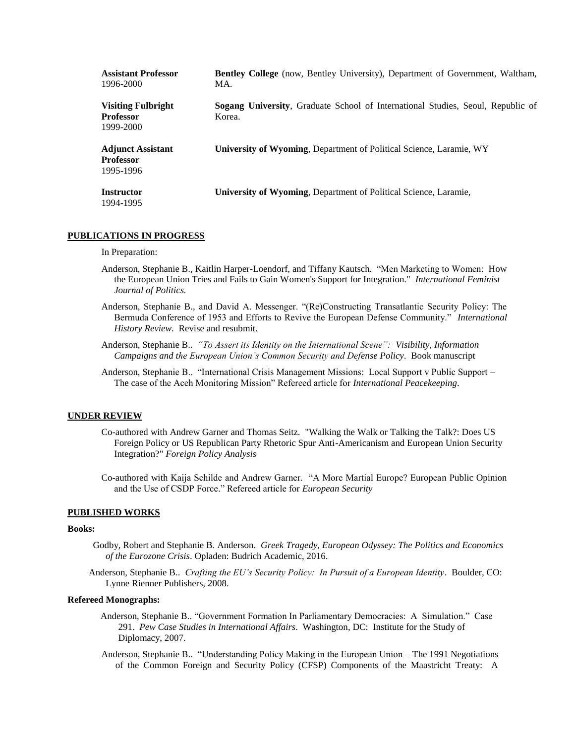| <b>Assistant Professor</b><br>1996-2000                    | Bentley College (now, Bentley University), Department of Government, Waltham,<br>MA.             |
|------------------------------------------------------------|--------------------------------------------------------------------------------------------------|
| <b>Visiting Fulbright</b><br><b>Professor</b><br>1999-2000 | <b>Sogang University, Graduate School of International Studies, Seoul, Republic of</b><br>Korea. |
| <b>Adjunct Assistant</b><br><b>Professor</b><br>1995-1996  | <b>University of Wyoming, Department of Political Science, Laramie, WY</b>                       |
| <b>Instructor</b><br>1994-1995                             | University of Wyoming, Department of Political Science, Laramie,                                 |

## **PUBLICATIONS IN PROGRESS**

## In Preparation:

- Anderson, Stephanie B., Kaitlin Harper-Loendorf, and Tiffany Kautsch. "Men Marketing to Women: How the European Union Tries and Fails to Gain Women's Support for Integration." *International Feminist Journal of Politics.*
- Anderson, Stephanie B., and David A. Messenger. "(Re)Constructing Transatlantic Security Policy: The Bermuda Conference of 1953 and Efforts to Revive the European Defense Community."*International History Review*. Revise and resubmit.
- Anderson, Stephanie B.. *"To Assert its Identity on the International Scene": Visibility, Information Campaigns and the European Union's Common Security and Defense Policy*. Book manuscript
- Anderson, Stephanie B.. "International Crisis Management Missions: Local Support v Public Support The case of the Aceh Monitoring Mission" Refereed article for *International Peacekeeping*.

### **UNDER REVIEW**

- Co-authored with Andrew Garner and Thomas Seitz. "Walking the Walk or Talking the Talk?: Does US Foreign Policy or US Republican Party Rhetoric Spur Anti-Americanism and European Union Security Integration?" *Foreign Policy Analysis*
- Co-authored with Kaija Schilde and Andrew Garner. "A More Martial Europe? European Public Opinion and the Use of CSDP Force." Refereed article for *European Security*

## **PUBLISHED WORKS**

### **Books:**

- Godby, Robert and Stephanie B. Anderson. *Greek Tragedy, European Odyssey: The Politics and Economics of the Eurozone Crisis*. Opladen: Budrich Academic, 2016.
- Anderson, Stephanie B.. *Crafting the EU's Security Policy: In Pursuit of a European Identity*. Boulder, CO: Lynne Rienner Publishers, 2008.

## **Refereed Monographs:**

- Anderson, Stephanie B.. "Government Formation In Parliamentary Democracies: A Simulation." Case 291. *Pew Case Studies in International Affairs*. Washington, DC: Institute for the Study of Diplomacy, 2007.
- Anderson, Stephanie B.. "Understanding Policy Making in the European Union The 1991 Negotiations of the Common Foreign and Security Policy (CFSP) Components of the Maastricht Treaty: A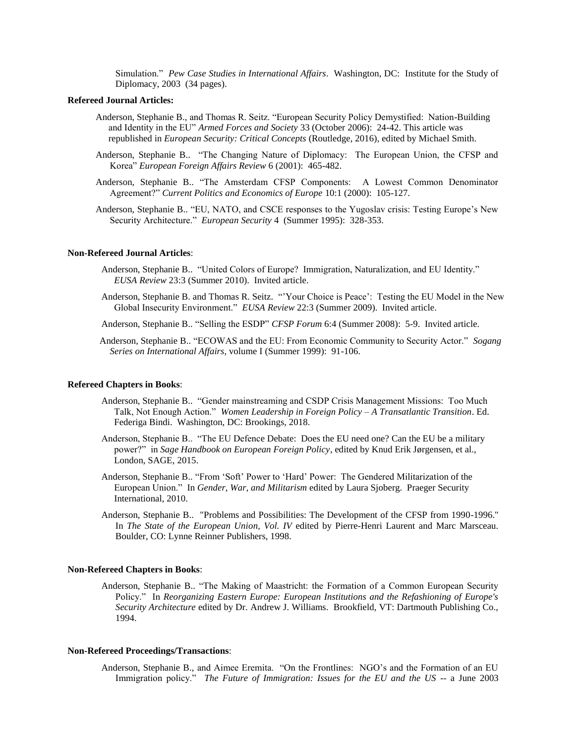Simulation." *Pew Case Studies in International Affairs*. Washington, DC: Institute for the Study of Diplomacy, 2003 (34 pages).

### **Refereed Journal Articles:**

- Anderson, Stephanie B., and Thomas R. Seitz. "European Security Policy Demystified: Nation-Building and Identity in the EU" *Armed Forces and Society* 33 (October 2006): 24-42. This article was republished in *European Security: Critical Concepts* (Routledge, 2016), edited by Michael Smith.
- Anderson, Stephanie B.. "The Changing Nature of Diplomacy: The European Union, the CFSP and Korea" *European Foreign Affairs Review* 6 (2001): 465-482.
- Anderson, Stephanie B.. "The Amsterdam CFSP Components: A Lowest Common Denominator Agreement?" *Current Politics and Economics of Europe* 10:1 (2000): 105-127.
- Anderson, Stephanie B.. "EU, NATO, and CSCE responses to the Yugoslav crisis: Testing Europe's New Security Architecture." *European Security* 4 (Summer 1995): 328-353.

## **Non-Refereed Journal Articles**:

- Anderson, Stephanie B.. "United Colors of Europe? Immigration, Naturalization, and EU Identity." *EUSA Review* 23:3 (Summer 2010). Invited article.
- Anderson, Stephanie B. and Thomas R. Seitz. "'Your Choice is Peace': Testing the EU Model in the New Global Insecurity Environment." *EUSA Review* 22:3 (Summer 2009). Invited article.
- Anderson, Stephanie B.. "Selling the ESDP" *CFSP Forum* 6:4 (Summer 2008): 5-9. Invited article.
- Anderson, Stephanie B.. "ECOWAS and the EU: From Economic Community to Security Actor." *Sogang Series on International Affairs*, volume I (Summer 1999): 91-106.

#### **Refereed Chapters in Books**:

- Anderson, Stephanie B.. "Gender mainstreaming and CSDP Crisis Management Missions: Too Much Talk, Not Enough Action." *Women Leadership in Foreign Policy – A Transatlantic Transition*. Ed. Federiga Bindi. Washington, DC: Brookings, 2018.
- Anderson, Stephanie B.. "The EU Defence Debate: Does the EU need one? Can the EU be a military power?" in *Sage Handbook on European Foreign Policy*, edited by Knud Erik Jørgensen, et al., London, SAGE, 2015.
- Anderson, Stephanie B.. "From 'Soft' Power to 'Hard' Power: The Gendered Militarization of the European Union." In *Gender, War, and Militarism* edited by Laura Sjoberg. Praeger Security International, 2010.
- Anderson, Stephanie B.. "Problems and Possibilities: The Development of the CFSP from 1990-1996." In *The State of the European Union, Vol. IV* edited by Pierre-Henri Laurent and Marc Marsceau. Boulder, CO: Lynne Reinner Publishers, 1998.

#### **Non-Refereed Chapters in Books**:

Anderson, Stephanie B.. "The Making of Maastricht: the Formation of a Common European Security Policy." In *Reorganizing Eastern Europe: European Institutions and the Refashioning of Europe's Security Architecture* edited by Dr. Andrew J. Williams. Brookfield, VT: Dartmouth Publishing Co., 1994.

## **Non-Refereed Proceedings/Transactions**:

Anderson, Stephanie B., and Aimee Eremita. "On the Frontlines: NGO's and the Formation of an EU Immigration policy." *The Future of Immigration: Issues for the EU and the US -- a June 2003*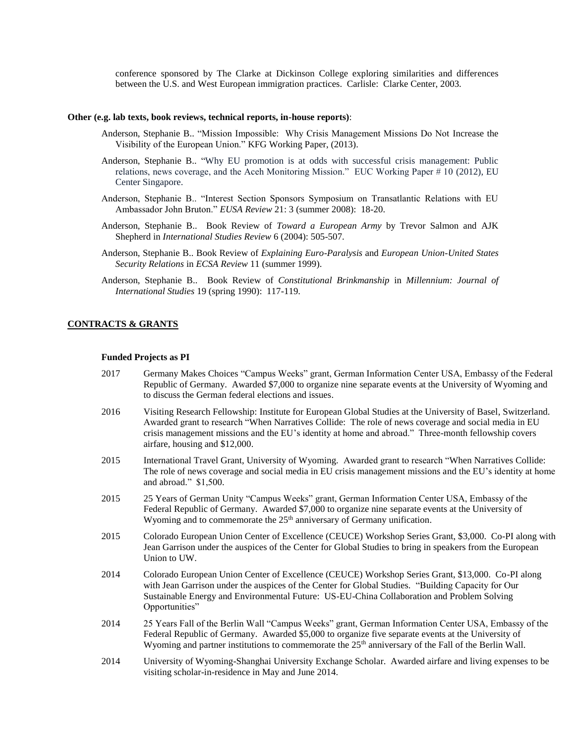conference sponsored by The Clarke at Dickinson College exploring similarities and differences between the U.S. and West European immigration practices. Carlisle: Clarke Center, 2003.

#### **Other (e.g. lab texts, book reviews, technical reports, in-house reports)**:

- Anderson, Stephanie B.. "Mission Impossible: Why Crisis Management Missions Do Not Increase the Visibility of the European Union." KFG Working Paper, (2013).
- Anderson, Stephanie B.. "Why EU promotion is at odds with successful crisis management: Public relations, news coverage, and the Aceh Monitoring Mission." EUC Working Paper # 10 (2012), EU Center Singapore.
- Anderson, Stephanie B.. "Interest Section Sponsors Symposium on Transatlantic Relations with EU Ambassador John Bruton." *EUSA Review* 21: 3 (summer 2008): 18-20.
- Anderson, Stephanie B.. Book Review of *Toward a European Army* by Trevor Salmon and AJK Shepherd in *International Studies Review* 6 (2004): 505-507.
- Anderson, Stephanie B.. Book Review of *Explaining Euro-Paralysis* and *European Union-United States Security Relations* in *ECSA Review* 11 (summer 1999).
- Anderson, Stephanie B.. Book Review of *Constitutional Brinkmanship* in *Millennium: Journal of International Studies* 19 (spring 1990): 117-119.

### **CONTRACTS & GRANTS**

## **Funded Projects as PI**

- 2017 Germany Makes Choices "Campus Weeks" grant, German Information Center USA, Embassy of the Federal Republic of Germany. Awarded \$7,000 to organize nine separate events at the University of Wyoming and to discuss the German federal elections and issues.
- 2016 Visiting Research Fellowship: Institute for European Global Studies at the University of Basel, Switzerland. Awarded grant to research "When Narratives Collide: The role of news coverage and social media in EU crisis management missions and the EU's identity at home and abroad." Three-month fellowship covers airfare, housing and \$12,000.
- 2015 International Travel Grant, University of Wyoming. Awarded grant to research "When Narratives Collide: The role of news coverage and social media in EU crisis management missions and the EU's identity at home and abroad." \$1,500.
- 2015 25 Years of German Unity "Campus Weeks" grant, German Information Center USA, Embassy of the Federal Republic of Germany. Awarded \$7,000 to organize nine separate events at the University of Wyoming and to commemorate the  $25<sup>th</sup>$  anniversary of Germany unification.
- 2015 Colorado European Union Center of Excellence (CEUCE) Workshop Series Grant, \$3,000. Co-PI along with Jean Garrison under the auspices of the Center for Global Studies to bring in speakers from the European Union to UW.
- 2014 Colorado European Union Center of Excellence (CEUCE) Workshop Series Grant, \$13,000. Co-PI along with Jean Garrison under the auspices of the Center for Global Studies. "Building Capacity for Our Sustainable Energy and Environmental Future: US-EU-China Collaboration and Problem Solving Opportunities"
- 2014 25 Years Fall of the Berlin Wall "Campus Weeks" grant, German Information Center USA, Embassy of the Federal Republic of Germany. Awarded \$5,000 to organize five separate events at the University of Wyoming and partner institutions to commemorate the 25<sup>th</sup> anniversary of the Fall of the Berlin Wall.
- 2014 University of Wyoming-Shanghai University Exchange Scholar. Awarded airfare and living expenses to be visiting scholar-in-residence in May and June 2014.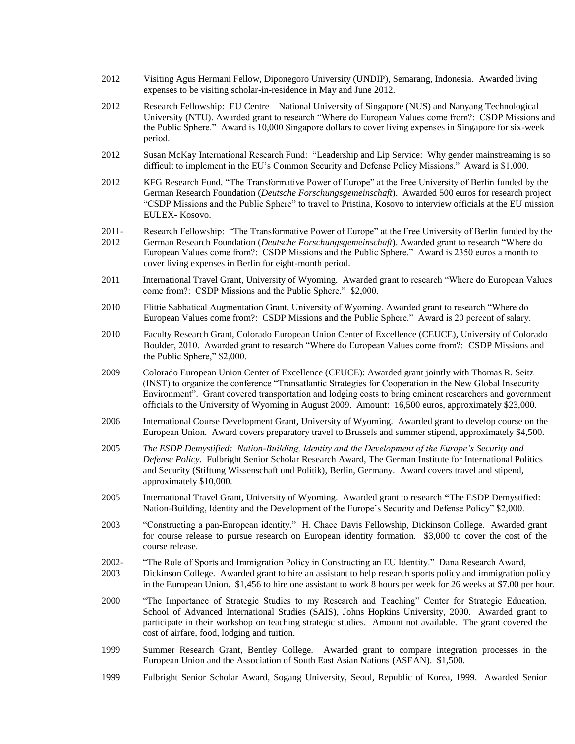- 2012 Visiting Agus Hermani Fellow, Diponegoro University (UNDIP), Semarang, Indonesia. Awarded living expenses to be visiting scholar-in-residence in May and June 2012.
- 2012 Research Fellowship: EU Centre National University of Singapore (NUS) and Nanyang Technological University (NTU). Awarded grant to research "Where do European Values come from?: CSDP Missions and the Public Sphere." Award is 10,000 Singapore dollars to cover living expenses in Singapore for six-week period.
- 2012 Susan McKay International Research Fund: "Leadership and Lip Service: Why gender mainstreaming is so difficult to implement in the EU's Common Security and Defense Policy Missions." Award is \$1,000.
- 2012 KFG Research Fund, "The Transformative Power of Europe" at the Free University of Berlin funded by the German Research Foundation (*Deutsche Forschungsgemeinschaft*). Awarded 500 euros for research project "CSDP Missions and the Public Sphere" to travel to Pristina, Kosovo to interview officials at the EU mission EULEX- Kosovo.
- 2011- Research Fellowship: "The Transformative Power of Europe" at the Free University of Berlin funded by the
- 2012 German Research Foundation (*Deutsche Forschungsgemeinschaft*). Awarded grant to research "Where do European Values come from?: CSDP Missions and the Public Sphere." Award is 2350 euros a month to cover living expenses in Berlin for eight-month period.
- 2011 International Travel Grant, University of Wyoming. Awarded grant to research "Where do European Values come from?: CSDP Missions and the Public Sphere." \$2,000.
- 2010 Flittie Sabbatical Augmentation Grant, University of Wyoming. Awarded grant to research "Where do European Values come from?: CSDP Missions and the Public Sphere." Award is 20 percent of salary.
- 2010 Faculty Research Grant, Colorado European Union Center of Excellence (CEUCE), University of Colorado Boulder, 2010. Awarded grant to research "Where do European Values come from?: CSDP Missions and the Public Sphere," \$2,000.
- 2009 Colorado European Union Center of Excellence (CEUCE): Awarded grant jointly with Thomas R. Seitz (INST) to organize the conference "Transatlantic Strategies for Cooperation in the New Global Insecurity Environment". Grant covered transportation and lodging costs to bring eminent researchers and government officials to the University of Wyoming in August 2009. Amount: 16,500 euros, approximately \$23,000.
- 2006 International Course Development Grant, University of Wyoming. Awarded grant to develop course on the European Union. Award covers preparatory travel to Brussels and summer stipend, approximately \$4,500.
- 2005 *The ESDP Demystified: Nation-Building, Identity and the Development of the Europe's Security and Defense Policy.* Fulbright Senior Scholar Research Award, The German Institute for International Politics and Security (Stiftung Wissenschaft und Politik), Berlin, Germany. Award covers travel and stipend, approximately \$10,000.
- 2005 International Travel Grant, University of Wyoming. Awarded grant to research **"**The ESDP Demystified: Nation-Building, Identity and the Development of the Europe's Security and Defense Policy" \$2,000.
- 2003 "Constructing a pan-European identity." H. Chace Davis Fellowship, Dickinson College. Awarded grant for course release to pursue research on European identity formation. \$3,000 to cover the cost of the course release.
- 2002- "The Role of Sports and Immigration Policy in Constructing an EU Identity." Dana Research Award,
- 2003 Dickinson College. Awarded grant to hire an assistant to help research sports policy and immigration policy in the European Union. \$1,456 to hire one assistant to work 8 hours per week for 26 weeks at \$7.00 per hour.
- 2000 "The Importance of Strategic Studies to my Research and Teaching" Center for Strategic Education, School of Advanced International Studies (SAIS**)**, Johns Hopkins University, 2000. Awarded grant to participate in their workshop on teaching strategic studies. Amount not available. The grant covered the cost of airfare, food, lodging and tuition.
- 1999 Summer Research Grant, Bentley College. Awarded grant to compare integration processes in the European Union and the Association of South East Asian Nations (ASEAN). \$1,500.
- 1999 Fulbright Senior Scholar Award, Sogang University, Seoul, Republic of Korea, 1999. Awarded Senior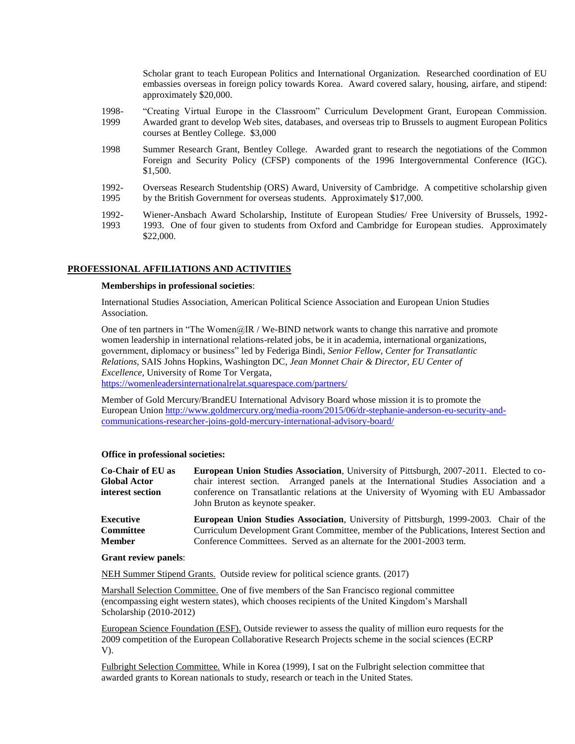Scholar grant to teach European Politics and International Organization. Researched coordination of EU embassies overseas in foreign policy towards Korea. Award covered salary, housing, airfare, and stipend: approximately \$20,000.

- 1998- 1999 "Creating Virtual Europe in the Classroom" Curriculum Development Grant, European Commission. Awarded grant to develop Web sites, databases, and overseas trip to Brussels to augment European Politics courses at Bentley College. \$3,000
- 1998 Summer Research Grant, Bentley College. Awarded grant to research the negotiations of the Common Foreign and Security Policy (CFSP) components of the 1996 Intergovernmental Conference (IGC). \$1,500.
- 1992- 1995 Overseas Research Studentship (ORS) Award, University of Cambridge. A competitive scholarship given by the British Government for overseas students. Approximately \$17,000.
- 1992- 1993 Wiener-Ansbach Award Scholarship, Institute of European Studies/ Free University of Brussels, 1992- 1993. One of four given to students from Oxford and Cambridge for European studies. Approximately \$22,000.

## **PROFESSIONAL AFFILIATIONS AND ACTIVITIES**

## **Memberships in professional societies**:

International Studies Association, American Political Science Association and European Union Studies Association.

One of ten partners in "The Women@IR / We-BIND network wants to change this narrative and promote women leadership in international relations-related jobs, be it in academia, international organizations, government, diplomacy or business" led by Federiga Bindi, *Senior Fellow, Center for Transatlantic Relations,* SAIS Johns Hopkins, Washington DC, *Jean Monnet Chair & Director, EU Center of Excellence,* University of Rome Tor Vergata,

<https://womenleadersinternationalrelat.squarespace.com/partners/>

Member of Gold Mercury/BrandEU International Advisory Board whose mission it is to promote the European Union [http://www.goldmercury.org/media-room/2015/06/dr-stephanie-anderson-eu-security-and](http://www.goldmercury.org/media-room/2015/06/dr-stephanie-anderson-eu-security-and-communications-researcher-joins-gold-mercury-international-advisory-board/)[communications-researcher-joins-gold-mercury-international-advisory-board/](http://www.goldmercury.org/media-room/2015/06/dr-stephanie-anderson-eu-security-and-communications-researcher-joins-gold-mercury-international-advisory-board/)

## **Office in professional societies:**

| <b>European Union Studies Association</b> , University of Pittsburgh, 2007-2011. Elected to co-                                                                                                                                                                   |
|-------------------------------------------------------------------------------------------------------------------------------------------------------------------------------------------------------------------------------------------------------------------|
| chair interest section. Arranged panels at the International Studies Association and a<br>conference on Transatlantic relations at the University of Wyoming with EU Ambassador<br>John Bruton as keynote speaker.                                                |
| <b>European Union Studies Association, University of Pittsburgh, 1999-2003.</b> Chair of the<br>Curriculum Development Grant Committee, member of the Publications, Interest Section and<br>Conference Committees. Served as an alternate for the 2001-2003 term. |
|                                                                                                                                                                                                                                                                   |

### **Grant review panels**:

NEH Summer Stipend Grants. Outside review for political science grants. (2017)

Marshall Selection Committee. One of five members of the San Francisco regional committee (encompassing eight western states), which chooses recipients of the United Kingdom's Marshall Scholarship (2010-2012)

European Science Foundation (ESF). Outside reviewer to assess the quality of million euro requests for the 2009 competition of the European Collaborative Research Projects scheme in the social sciences (ECRP V).

Fulbright Selection Committee. While in Korea (1999), I sat on the Fulbright selection committee that awarded grants to Korean nationals to study, research or teach in the United States.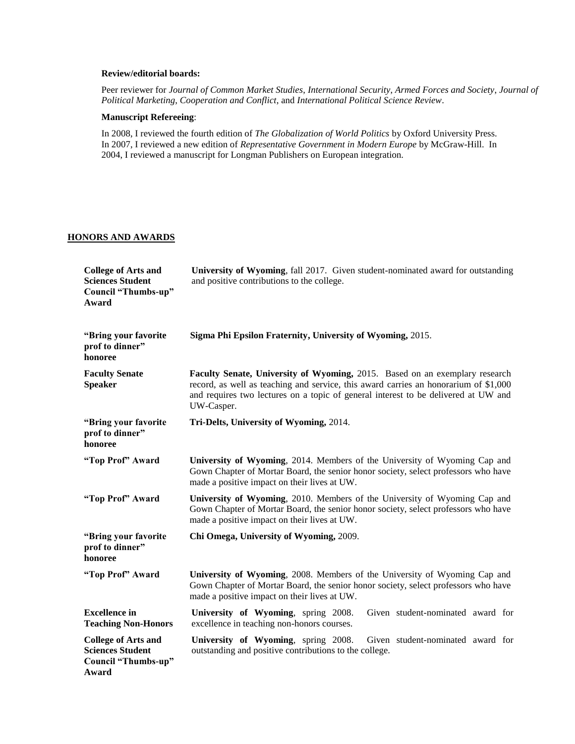# **Review/editorial boards:**

Peer reviewer for *Journal of Common Market Studies*, *International Security*, *Armed Forces and Society*, *Journal of Political Marketing*, *Cooperation and Conflict*, and *International Political Science Review*.

## **Manuscript Refereeing**:

In 2008, I reviewed the fourth edition of *The Globalization of World Politics* by Oxford University Press. In 2007, I reviewed a new edition of *Representative Government in Modern Europe* by McGraw-Hill. In 2004, I reviewed a manuscript for Longman Publishers on European integration.

# **HONORS AND AWARDS**

| <b>College of Arts and</b><br><b>Sciences Student</b><br>Council "Thumbs-up"<br>Award | University of Wyoming, fall 2017. Given student-nominated award for outstanding<br>and positive contributions to the college.                                                                                                                                           |
|---------------------------------------------------------------------------------------|-------------------------------------------------------------------------------------------------------------------------------------------------------------------------------------------------------------------------------------------------------------------------|
| "Bring your favorite<br>prof to dinner"<br>honoree                                    | Sigma Phi Epsilon Fraternity, University of Wyoming, 2015.                                                                                                                                                                                                              |
| <b>Faculty Senate</b><br><b>Speaker</b>                                               | Faculty Senate, University of Wyoming, 2015. Based on an exemplary research<br>record, as well as teaching and service, this award carries an honorarium of \$1,000<br>and requires two lectures on a topic of general interest to be delivered at UW and<br>UW-Casper. |
| "Bring your favorite<br>prof to dinner"<br>honoree                                    | Tri-Delts, University of Wyoming, 2014.                                                                                                                                                                                                                                 |
| "Top Prof" Award                                                                      | University of Wyoming, 2014. Members of the University of Wyoming Cap and<br>Gown Chapter of Mortar Board, the senior honor society, select professors who have<br>made a positive impact on their lives at UW.                                                         |
| "Top Prof" Award                                                                      | University of Wyoming, 2010. Members of the University of Wyoming Cap and<br>Gown Chapter of Mortar Board, the senior honor society, select professors who have<br>made a positive impact on their lives at UW.                                                         |
| "Bring your favorite<br>prof to dinner"<br>honoree                                    | Chi Omega, University of Wyoming, 2009.                                                                                                                                                                                                                                 |
| "Top Prof" Award                                                                      | University of Wyoming, 2008. Members of the University of Wyoming Cap and<br>Gown Chapter of Mortar Board, the senior honor society, select professors who have<br>made a positive impact on their lives at UW.                                                         |
| <b>Excellence</b> in<br><b>Teaching Non-Honors</b>                                    | University of Wyoming, spring 2008.<br>Given student-nominated award for<br>excellence in teaching non-honors courses.                                                                                                                                                  |
| <b>College of Arts and</b><br><b>Sciences Student</b><br>Council "Thumbs-up"<br>Award | University of Wyoming, spring 2008.<br>Given student-nominated award for<br>outstanding and positive contributions to the college.                                                                                                                                      |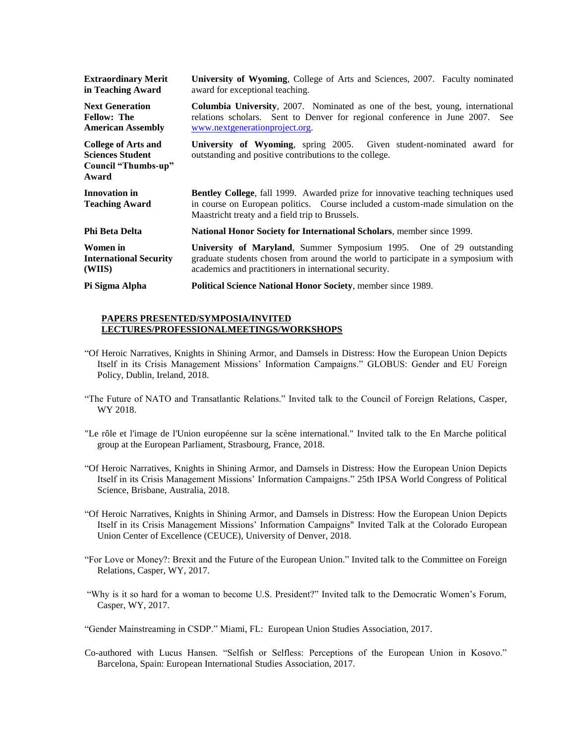| <b>Extraordinary Merit</b><br>in Teaching Award                                       | <b>University of Wyoming, College of Arts and Sciences, 2007. Faculty nominated</b><br>award for exceptional teaching.                                                                                                         |
|---------------------------------------------------------------------------------------|--------------------------------------------------------------------------------------------------------------------------------------------------------------------------------------------------------------------------------|
| <b>Next Generation</b><br><b>Fellow: The</b><br><b>American Assembly</b>              | <b>Columbia University, 2007.</b> Nominated as one of the best, young, international<br>relations scholars. Sent to Denver for regional conference in June 2007. See<br>www.nextgenerationproject.org.                         |
| <b>College of Arts and</b><br><b>Sciences Student</b><br>Council "Thumbs-up"<br>Award | University of Wyoming, spring 2005. Given student-nominated award for<br>outstanding and positive contributions to the college.                                                                                                |
| Innovation in<br><b>Teaching Award</b>                                                | <b>Bentley College, fall 1999.</b> Awarded prize for innovative teaching techniques used<br>in course on European politics. Course included a custom-made simulation on the<br>Maastricht treaty and a field trip to Brussels. |
| Phi Beta Delta                                                                        | <b>National Honor Society for International Scholars, member since 1999.</b>                                                                                                                                                   |
| Women in<br><b>International Security</b><br>(WIIS)                                   | University of Maryland, Summer Symposium 1995. One of 29 outstanding<br>graduate students chosen from around the world to participate in a symposium with<br>academics and practitioners in international security.            |
| Pi Sigma Alpha                                                                        | Political Science National Honor Society, member since 1989.                                                                                                                                                                   |

## **PAPERS PRESENTED/SYMPOSIA/INVITED LECTURES/PROFESSIONALMEETINGS/WORKSHOPS**

- "Of Heroic Narratives, Knights in Shining Armor, and Damsels in Distress: How the European Union Depicts Itself in its Crisis Management Missions' Information Campaigns." GLOBUS: Gender and EU Foreign Policy, Dublin, Ireland, 2018.
- "The Future of NATO and Transatlantic Relations." Invited talk to the Council of Foreign Relations, Casper, WY 2018.
- "Le rôle et l'image de l'Union européenne sur la scène international." Invited talk to the En Marche political group at the European Parliament, Strasbourg, France, 2018.
- "Of Heroic Narratives, Knights in Shining Armor, and Damsels in Distress: How the European Union Depicts Itself in its Crisis Management Missions' Information Campaigns." 25th IPSA World Congress of Political Science, Brisbane, Australia, 2018.
- "Of Heroic Narratives, Knights in Shining Armor, and Damsels in Distress: How the European Union Depicts Itself in its Crisis Management Missions' Information Campaigns" Invited Talk at the Colorado European Union Center of Excellence (CEUCE), University of Denver, 2018.
- "For Love or Money?: Brexit and the Future of the European Union." Invited talk to the Committee on Foreign Relations, Casper, WY, 2017.
- "Why is it so hard for a woman to become U.S. President?" Invited talk to the Democratic Women's Forum, Casper, WY, 2017.

"Gender Mainstreaming in CSDP." Miami, FL: European Union Studies Association, 2017.

Co-authored with Lucus Hansen. "Selfish or Selfless: Perceptions of the European Union in Kosovo." Barcelona, Spain: European International Studies Association, 2017.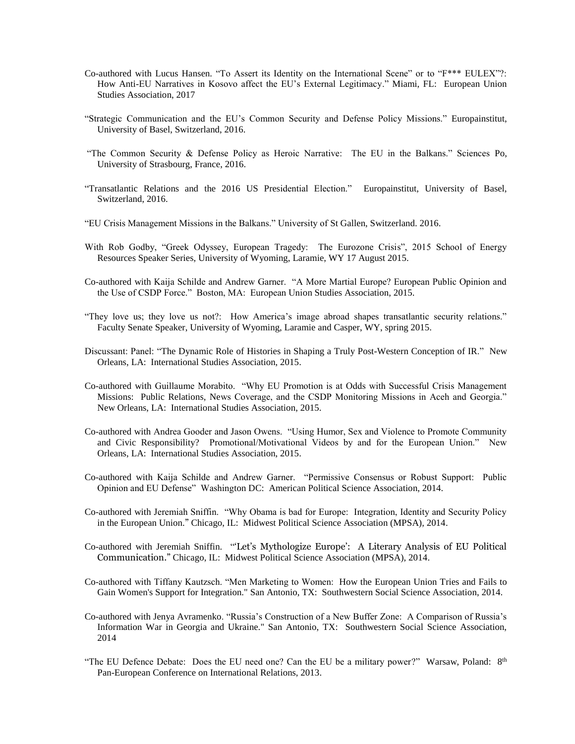- Co-authored with Lucus Hansen. "To Assert its Identity on the International Scene" or to "F\*\*\* EULEX"?: How Anti-EU Narratives in Kosovo affect the EU's External Legitimacy." Miami, FL: European Union Studies Association, 2017
- "Strategic Communication and the EU's Common Security and Defense Policy Missions." Europainstitut, University of Basel, Switzerland, 2016.
- "The Common Security & Defense Policy as Heroic Narrative: The EU in the Balkans." Sciences Po, University of Strasbourg, France, 2016.
- "Transatlantic Relations and the 2016 US Presidential Election." Europainstitut, University of Basel, Switzerland, 2016.
- "EU Crisis Management Missions in the Balkans." University of St Gallen, Switzerland. 2016.
- With Rob Godby, "Greek Odyssey, European Tragedy: The Eurozone Crisis", 2015 School of Energy Resources Speaker Series, University of Wyoming, Laramie, WY 17 August 2015.
- Co-authored with Kaija Schilde and Andrew Garner. "A More Martial Europe? European Public Opinion and the Use of CSDP Force." Boston, MA: European Union Studies Association, 2015.
- "They love us; they love us not?: How America's image abroad shapes transatlantic security relations." Faculty Senate Speaker, University of Wyoming, Laramie and Casper, WY, spring 2015.
- Discussant: Panel: "The Dynamic Role of Histories in Shaping a Truly Post-Western Conception of IR." New Orleans, LA: International Studies Association, 2015.
- Co-authored with Guillaume Morabito. "Why EU Promotion is at Odds with Successful Crisis Management Missions: Public Relations, News Coverage, and the CSDP Monitoring Missions in Aceh and Georgia." New Orleans, LA: International Studies Association, 2015.
- Co-authored with Andrea Gooder and Jason Owens. "Using Humor, Sex and Violence to Promote Community and Civic Responsibility? Promotional/Motivational Videos by and for the European Union." New Orleans, LA: International Studies Association, 2015.
- Co-authored with Kaija Schilde and Andrew Garner. "Permissive Consensus or Robust Support: Public Opinion and EU Defense" Washington DC: American Political Science Association, 2014.
- Co-authored with Jeremiah Sniffin. "Why Obama is bad for Europe: Integration, Identity and Security Policy in the European Union." Chicago, IL: Midwest Political Science Association (MPSA), 2014.
- Co-authored with Jeremiah Sniffin. "'Let's Mythologize Europe': A Literary Analysis of EU Political Communication." Chicago, IL: Midwest Political Science Association (MPSA), 2014.
- Co-authored with Tiffany Kautzsch. "Men Marketing to Women: How the European Union Tries and Fails to Gain Women's Support for Integration." San Antonio, TX: Southwestern Social Science Association, 2014.
- Co-authored with Jenya Avramenko. "Russia's Construction of a New Buffer Zone: A Comparison of Russia's Information War in Georgia and Ukraine." San Antonio, TX: Southwestern Social Science Association, 2014
- "The EU Defence Debate: Does the EU need one? Can the EU be a military power?" Warsaw, Poland: 8<sup>th</sup> Pan-European Conference on International Relations, 2013.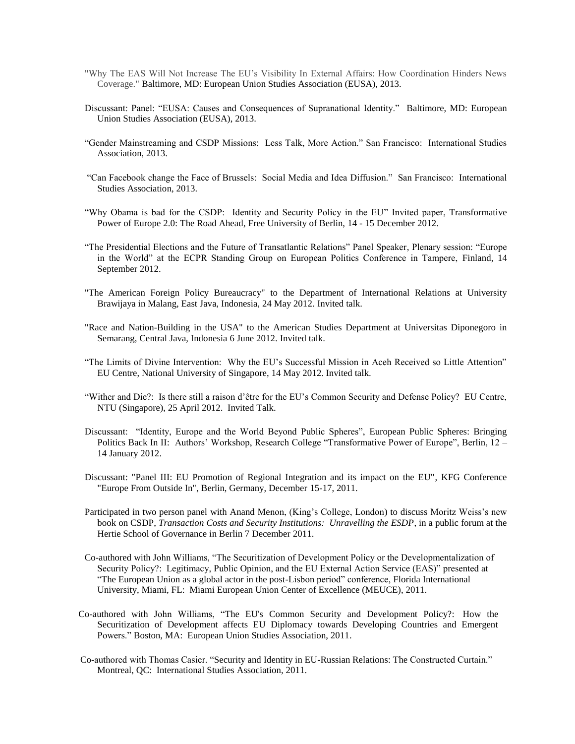- "Why The EAS Will Not Increase The EU's Visibility In External Affairs: How Coordination Hinders News Coverage." Baltimore, MD: European Union Studies Association (EUSA), 2013.
- Discussant: Panel: "EUSA: Causes and Consequences of Supranational Identity." Baltimore, MD: European Union Studies Association (EUSA), 2013.
- "Gender Mainstreaming and CSDP Missions: Less Talk, More Action." San Francisco: International Studies Association, 2013.
- "Can Facebook change the Face of Brussels: Social Media and Idea Diffusion." San Francisco: International Studies Association, 2013.
- "Why Obama is bad for the CSDP: Identity and Security Policy in the EU" Invited paper, Transformative Power of Europe 2.0: The Road Ahead, Free University of Berlin, 14 - 15 December 2012.
- "The Presidential Elections and the Future of Transatlantic Relations" Panel Speaker, Plenary session: "Europe in the World" at the ECPR Standing Group on European Politics Conference in Tampere, Finland, 14 September 2012.
- "The American Foreign Policy Bureaucracy" to the Department of International Relations at University Brawijaya in Malang, East Java, Indonesia, 24 May 2012. Invited talk.
- "Race and Nation-Building in the USA" to the American Studies Department at Universitas Diponegoro in Semarang, Central Java, Indonesia 6 June 2012. Invited talk.
- "The Limits of Divine Intervention: Why the EU's Successful Mission in Aceh Received so Little Attention" EU Centre, National University of Singapore, 14 May 2012. Invited talk.
- "Wither and Die?: Is there still a raison d'être for the EU's Common Security and Defense Policy? EU Centre, NTU (Singapore), 25 April 2012. Invited Talk.
- Discussant: "Identity, Europe and the World Beyond Public Spheres", European Public Spheres: Bringing Politics Back In II: Authors' Workshop, Research College "Transformative Power of Europe", Berlin, 12 – 14 January 2012.
- Discussant: "Panel III: EU Promotion of Regional Integration and its impact on the EU", KFG Conference "Europe From Outside In", Berlin, Germany, December 15-17, 2011.
- Participated in two person panel with Anand Menon, (King's College, London) to discuss Moritz Weiss's new book on CSDP, *Transaction Costs and Security Institutions: Unravelling the ESDP*, in a public forum at the Hertie School of Governance in Berlin 7 December 2011.
- Co-authored with John Williams, "The Securitization of Development Policy or the Developmentalization of Security Policy?: Legitimacy, Public Opinion, and the EU External Action Service (EAS)" presented at "The European Union as a global actor in the post-Lisbon period" conference, Florida International University, Miami, FL: Miami European Union Center of Excellence (MEUCE), 2011.
- Co-authored with John Williams, "The EU's Common Security and Development Policy?: How the Securitization of Development affects EU Diplomacy towards Developing Countries and Emergent Powers." Boston, MA: European Union Studies Association, 2011.
- Co-authored with Thomas Casier. "Security and Identity in EU-Russian Relations: The Constructed Curtain." Montreal, QC: International Studies Association, 2011.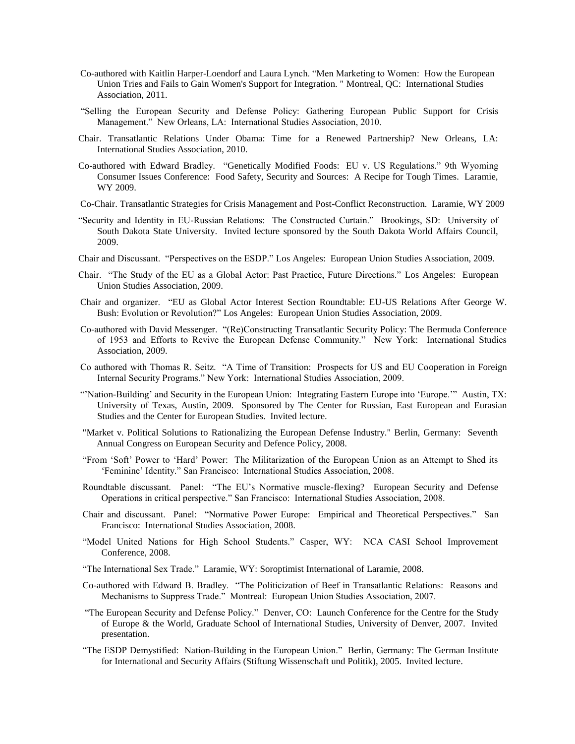- Co-authored with Kaitlin Harper-Loendorf and Laura Lynch. "Men Marketing to Women: How the European Union Tries and Fails to Gain Women's Support for Integration. " Montreal, QC: International Studies Association, 2011.
- "Selling the European Security and Defense Policy: Gathering European Public Support for Crisis Management." New Orleans, LA: International Studies Association, 2010.
- Chair. Transatlantic Relations Under Obama: Time for a Renewed Partnership? New Orleans, LA: International Studies Association, 2010.
- Co-authored with Edward Bradley. "Genetically Modified Foods: EU v. US Regulations." 9th Wyoming Consumer Issues Conference: Food Safety, Security and Sources: A Recipe for Tough Times. Laramie, WY 2009.
- Co-Chair. Transatlantic Strategies for Crisis Management and Post-Conflict Reconstruction. Laramie, WY 2009
- "Security and Identity in EU-Russian Relations: The Constructed Curtain." Brookings, SD: University of South Dakota State University. Invited lecture sponsored by the South Dakota World Affairs Council, 2009.
- Chair and Discussant. "Perspectives on the ESDP." Los Angeles: European Union Studies Association, 2009.
- Chair. "The Study of the EU as a Global Actor: Past Practice, Future Directions." Los Angeles: European Union Studies Association, 2009.
- Chair and organizer. "EU as Global Actor Interest Section Roundtable: EU-US Relations After George W. Bush: Evolution or Revolution?" Los Angeles: European Union Studies Association, 2009.
- Co-authored with David Messenger. "(Re)Constructing Transatlantic Security Policy: The Bermuda Conference of 1953 and Efforts to Revive the European Defense Community." New York: International Studies Association, 2009.
- Co authored with Thomas R. Seitz. "A Time of Transition: Prospects for US and EU Cooperation in Foreign Internal Security Programs." New York: International Studies Association, 2009.
- "'Nation-Building' and Security in the European Union: Integrating Eastern Europe into 'Europe.'" Austin, TX: University of Texas, Austin, 2009. Sponsored by The Center for Russian, East European and Eurasian Studies and the Center for European Studies. Invited lecture.
- "Market v. Political Solutions to Rationalizing the European Defense Industry." Berlin, Germany: Seventh Annual Congress on European Security and Defence Policy, 2008.
- "From 'Soft' Power to 'Hard' Power: The Militarization of the European Union as an Attempt to Shed its 'Feminine' Identity." San Francisco: International Studies Association, 2008.
- Roundtable discussant. Panel: "The EU's Normative muscle-flexing? European Security and Defense Operations in critical perspective." San Francisco: International Studies Association, 2008.
- Chair and discussant. Panel: "Normative Power Europe: Empirical and Theoretical Perspectives." San Francisco: International Studies Association, 2008.
- "Model United Nations for High School Students." Casper, WY: NCA CASI School Improvement Conference, 2008.
- "The International Sex Trade." Laramie, WY: Soroptimist International of Laramie, 2008.
- Co-authored with Edward B. Bradley. "The Politicization of Beef in Transatlantic Relations: Reasons and Mechanisms to Suppress Trade." Montreal: European Union Studies Association, 2007.
- "The European Security and Defense Policy." Denver, CO: Launch Conference for the Centre for the Study of Europe & the World, Graduate School of International Studies, University of Denver, 2007. Invited presentation.
- "The ESDP Demystified: Nation-Building in the European Union." Berlin, Germany: The German Institute for International and Security Affairs (Stiftung Wissenschaft und Politik), 2005. Invited lecture.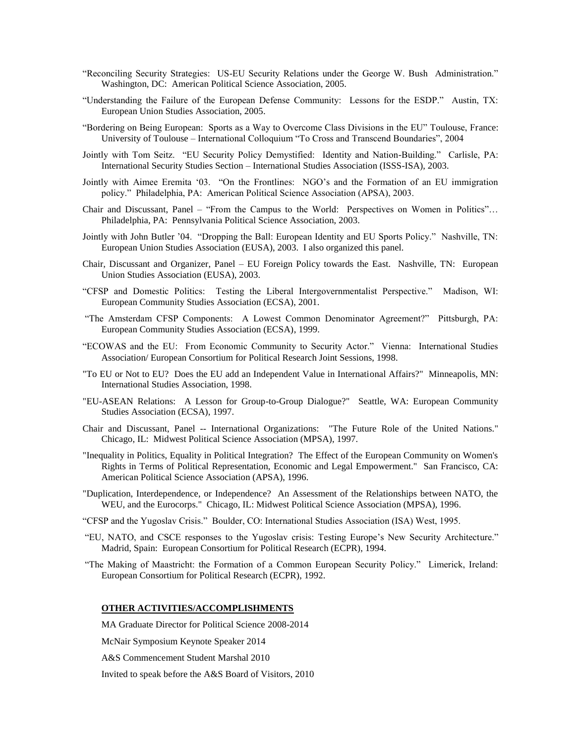- "Reconciling Security Strategies: US-EU Security Relations under the George W. Bush Administration." Washington, DC: American Political Science Association, 2005.
- "Understanding the Failure of the European Defense Community: Lessons for the ESDP." Austin, TX: European Union Studies Association, 2005.
- "Bordering on Being European: Sports as a Way to Overcome Class Divisions in the EU" Toulouse, France: University of Toulouse – International Colloquium "To Cross and Transcend Boundaries", 2004
- Jointly with Tom Seitz. "EU Security Policy Demystified: Identity and Nation-Building." Carlisle, PA: International Security Studies Section – International Studies Association (ISSS-ISA), 2003.
- Jointly with Aimee Eremita '03. "On the Frontlines: NGO's and the Formation of an EU immigration policy." Philadelphia, PA: American Political Science Association (APSA), 2003.
- Chair and Discussant, Panel "From the Campus to the World: Perspectives on Women in Politics"… Philadelphia, PA: Pennsylvania Political Science Association, 2003.
- Jointly with John Butler '04. "Dropping the Ball: European Identity and EU Sports Policy." Nashville, TN: European Union Studies Association (EUSA), 2003. I also organized this panel.
- Chair, Discussant and Organizer, Panel EU Foreign Policy towards the East. Nashville, TN: European Union Studies Association (EUSA), 2003.
- "CFSP and Domestic Politics: Testing the Liberal Intergovernmentalist Perspective." Madison, WI: European Community Studies Association (ECSA), 2001.
- "The Amsterdam CFSP Components: A Lowest Common Denominator Agreement?" Pittsburgh, PA: European Community Studies Association (ECSA), 1999.
- "ECOWAS and the EU: From Economic Community to Security Actor." Vienna: International Studies Association/ European Consortium for Political Research Joint Sessions, 1998.
- "To EU or Not to EU? Does the EU add an Independent Value in International Affairs?" Minneapolis, MN: International Studies Association, 1998.
- "EU-ASEAN Relations: A Lesson for Group-to-Group Dialogue?" Seattle, WA: European Community Studies Association (ECSA), 1997.
- Chair and Discussant, Panel -- International Organizations: "The Future Role of the United Nations." Chicago, IL: Midwest Political Science Association (MPSA), 1997.
- "Inequality in Politics, Equality in Political Integration? The Effect of the European Community on Women's Rights in Terms of Political Representation, Economic and Legal Empowerment." San Francisco, CA: American Political Science Association (APSA), 1996.
- "Duplication, Interdependence, or Independence? An Assessment of the Relationships between NATO, the WEU, and the Eurocorps." Chicago, IL: Midwest Political Science Association (MPSA), 1996.
- "CFSP and the Yugoslav Crisis." Boulder, CO: International Studies Association (ISA) West, 1995.
- "EU, NATO, and CSCE responses to the Yugoslav crisis: Testing Europe's New Security Architecture." Madrid, Spain: European Consortium for Political Research (ECPR), 1994.
- "The Making of Maastricht: the Formation of a Common European Security Policy." Limerick, Ireland: European Consortium for Political Research (ECPR), 1992.

# **OTHER ACTIVITIES/ACCOMPLISHMENTS**

MA Graduate Director for Political Science 2008-2014

McNair Symposium Keynote Speaker 2014

A&S Commencement Student Marshal 2010

Invited to speak before the A&S Board of Visitors, 2010